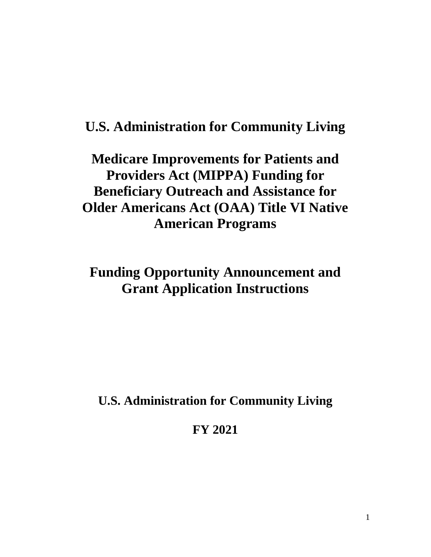# **U.S. Administration for Community Living**

# **Medicare Improvements for Patients and Providers Act (MIPPA) Funding for Beneficiary Outreach and Assistance for Older Americans Act (OAA) Title VI Native American Programs**

# **Funding Opportunity Announcement and Grant Application Instructions**

**U.S. Administration for Community Living**

**FY 2021**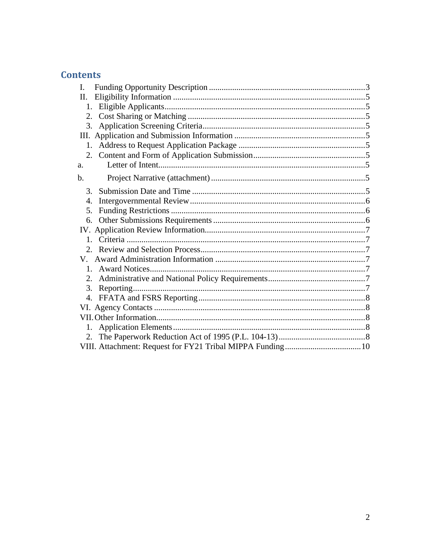# **Contents**

| L.                     |  |
|------------------------|--|
| П.                     |  |
| 1.                     |  |
| 2.                     |  |
| 3.                     |  |
|                        |  |
| $1_{-}$                |  |
| $2_{\cdot}$            |  |
| a.                     |  |
| b.                     |  |
| $\mathcal{R}_{\alpha}$ |  |
| 4.                     |  |
| 5.                     |  |
| 6.                     |  |
|                        |  |
| $1$ .                  |  |
| $2^{\circ}$            |  |
|                        |  |
| $1_{-}$                |  |
| 2.                     |  |
| 3.                     |  |
| 4.                     |  |
|                        |  |
|                        |  |
| 1.                     |  |
|                        |  |
|                        |  |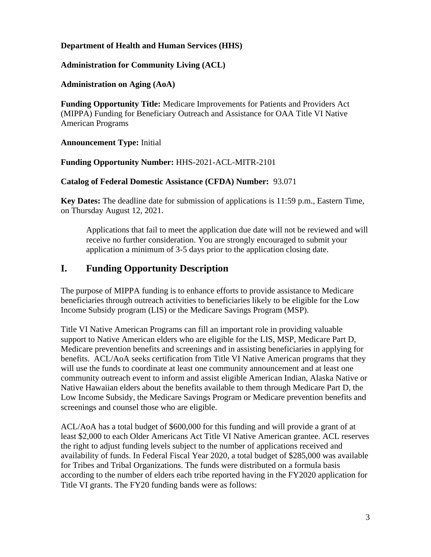#### **Department of Health and Human Services (HHS)**

#### **Administration for Community Living (ACL)**

#### **Administration on Aging (AoA)**

**Funding Opportunity Title:** Medicare Improvements for Patients and Providers Act (MIPPA) Funding for Beneficiary Outreach and Assistance for OAA Title VI Native American Programs

#### **Announcement Type:** Initial

#### **Funding Opportunity Number:** HHS-2021-ACL-MITR-2101

#### **Catalog of Federal Domestic Assistance (CFDA) Number:** 93.071

**Key Dates:** The deadline date for submission of applications is 11:59 p.m., Eastern Time, on Thursday August 12, 2021.

Applications that fail to meet the application due date will not be reviewed and will receive no further consideration. You are strongly encouraged to submit your application a minimum of 3-5 days prior to the application closing date.

# <span id="page-2-0"></span>**I. Funding Opportunity Description**

The purpose of MIPPA funding is to enhance efforts to provide assistance to Medicare beneficiaries through outreach activities to beneficiaries likely to be eligible for the Low Income Subsidy program (LIS) or the Medicare Savings Program (MSP).

Title VI Native American Programs can fill an important role in providing valuable support to Native American elders who are eligible for the LIS, MSP, Medicare Part D, Medicare prevention benefits and screenings and in assisting beneficiaries in applying for benefits. ACL/AoA seeks certification from Title VI Native American programs that they will use the funds to coordinate at least one community announcement and at least one community outreach event to inform and assist eligible American Indian, Alaska Native or Native Hawaiian elders about the benefits available to them through Medicare Part D, the Low Income Subsidy, the Medicare Savings Program or Medicare prevention benefits and screenings and counsel those who are eligible.

ACL/AoA has a total budget of \$600,000 for this funding and will provide a grant of at least \$2,000 to each Older Americans Act Title VI Native American grantee. ACL reserves the right to adjust funding levels subject to the number of applications received and availability of funds. In Federal Fiscal Year 2020, a total budget of \$285,000 was available for Tribes and Tribal Organizations. The funds were distributed on a formula basis according to the number of elders each tribe reported having in the FY2020 application for Title VI grants. The FY20 funding bands were as follows: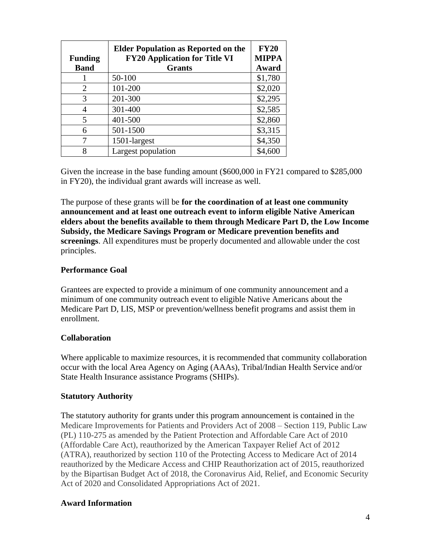| <b>Funding</b> | <b>Elder Population as Reported on the</b><br><b>FY20 Application for Title VI</b> | <b>FY20</b><br><b>MIPPA</b> |
|----------------|------------------------------------------------------------------------------------|-----------------------------|
| <b>Band</b>    | <b>Grants</b>                                                                      | Award                       |
|                | 50-100                                                                             | \$1,780                     |
| 2              | 101-200                                                                            | \$2,020                     |
| 3              | 201-300                                                                            | \$2,295                     |
| 4              | 301-400                                                                            | \$2,585                     |
| 5              | 401-500                                                                            | \$2,860                     |
| 6              | 501-1500                                                                           | \$3,315                     |
| 7              | 1501-largest                                                                       | \$4,350                     |
| 8              | Largest population                                                                 | \$4,600                     |

Given the increase in the base funding amount (\$600,000 in FY21 compared to \$285,000 in FY20), the individual grant awards will increase as well.

The purpose of these grants will be **for the coordination of at least one community announcement and at least one outreach event to inform eligible Native American elders about the benefits available to them through Medicare Part D, the Low Income Subsidy, the Medicare Savings Program or Medicare prevention benefits and screenings**. All expenditures must be properly documented and allowable under the cost principles.

#### **Performance Goal**

Grantees are expected to provide a minimum of one community announcement and a minimum of one community outreach event to eligible Native Americans about the Medicare Part D, LIS, MSP or prevention/wellness benefit programs and assist them in enrollment.

#### **Collaboration**

Where applicable to maximize resources, it is recommended that community collaboration occur with the local Area Agency on Aging (AAAs), Tribal/Indian Health Service and/or State Health Insurance assistance Programs (SHIPs).

#### **Statutory Authority**

The statutory authority for grants under this program announcement is contained in the Medicare Improvements for Patients and Providers Act of 2008 – Section 119, Public Law (PL) 110-275 as amended by the Patient Protection and Affordable Care Act of 2010 (Affordable Care Act), reauthorized by the American Taxpayer Relief Act of 2012 (ATRA), reauthorized by section 110 of the Protecting Access to Medicare Act of 2014 reauthorized by the Medicare Access and CHIP Reauthorization act of 2015, reauthorized by the Bipartisan Budget Act of 2018, the Coronavirus Aid, Relief, and Economic Security Act of 2020 and Consolidated Appropriations Act of 2021.

#### **Award Information**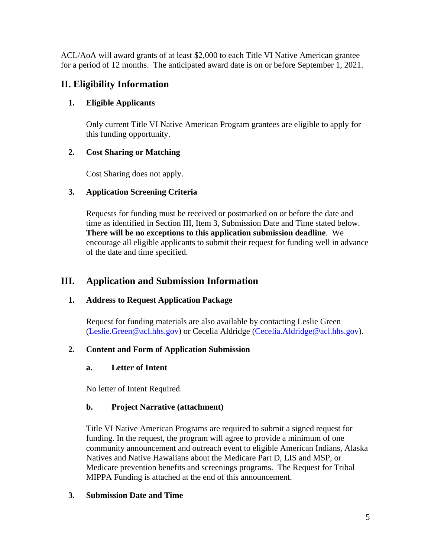ACL/AoA will award grants of at least \$2,000 to each Title VI Native American grantee for a period of 12 months. The anticipated award date is on or before September 1, 2021.

# <span id="page-4-0"></span>**II. Eligibility Information**

# <span id="page-4-1"></span>**1. Eligible Applicants**

Only current Title VI Native American Program grantees are eligible to apply for this funding opportunity.

# <span id="page-4-2"></span>**2. Cost Sharing or Matching**

Cost Sharing does not apply.

# <span id="page-4-3"></span>**3. Application Screening Criteria**

Requests for funding must be received or postmarked on or before the date and time as identified in Section III, Item 3, Submission Date and Time stated below. **There will be no exceptions to this application submission deadline**. We encourage all eligible applicants to submit their request for funding well in advance of the date and time specified.

# <span id="page-4-4"></span>**III. Application and Submission Information**

# <span id="page-4-5"></span>**1. Address to Request Application Package**

Request for funding materials are also available by contacting Leslie Green [\(Leslie.Green@acl.hhs.gov\)](mailto:Leslie.Green@acl.hhs.gov) or Cecelia Aldridge [\(Cecelia.Aldridge@acl.hhs.gov\)](mailto:Cecelia.Aldridge@acl.hhs.gov).

# <span id="page-4-7"></span><span id="page-4-6"></span>**2. Content and Form of Application Submission**

## **a. Letter of Intent**

No letter of Intent Required.

# <span id="page-4-8"></span>**b. Project Narrative (attachment)**

Title VI Native American Programs are required to submit a signed request for funding. In the request, the program will agree to provide a minimum of one community announcement and outreach event to eligible American Indians, Alaska Natives and Native Hawaiians about the Medicare Part D, LIS and MSP, or Medicare prevention benefits and screenings programs. The Request for Tribal MIPPA Funding is attached at the end of this announcement.

# <span id="page-4-9"></span>**3. Submission Date and Time**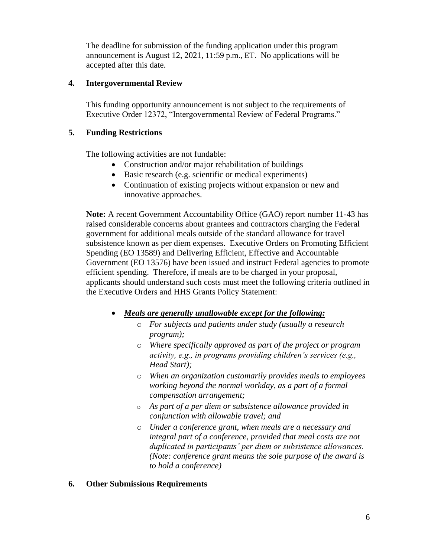The deadline for submission of the funding application under this program announcement is August 12, 2021, 11:59 p.m., ET. No applications will be accepted after this date.

### <span id="page-5-0"></span>**4. Intergovernmental Review**

This funding opportunity announcement is not subject to the requirements of Executive Order 12372, "Intergovernmental Review of Federal Programs."

#### <span id="page-5-1"></span>**5. Funding Restrictions**

The following activities are not fundable:

- Construction and/or major rehabilitation of buildings
- Basic research (e.g. scientific or medical experiments)
- Continuation of existing projects without expansion or new and innovative approaches.

**Note:** A recent Government Accountability Office (GAO) report number 11-43 has raised considerable concerns about grantees and contractors charging the Federal government for additional meals outside of the standard allowance for travel subsistence known as per diem expenses. Executive Orders on Promoting Efficient Spending (EO 13589) and Delivering Efficient, Effective and Accountable Government (EO 13576) have been issued and instruct Federal agencies to promote efficient spending. Therefore, if meals are to be charged in your proposal, applicants should understand such costs must meet the following criteria outlined in the Executive Orders and HHS Grants Policy Statement:

- *Meals are generally unallowable except for the following:*
	- o *For subjects and patients under study (usually a research program);*
	- o *Where specifically approved as part of the project or program activity, e.g., in programs providing children's services (e.g., Head Start);*
	- o *When an organization customarily provides meals to employees working beyond the normal workday, as a part of a formal compensation arrangement;*
	- o *As part of a per diem or subsistence allowance provided in conjunction with allowable travel; and*
	- o *Under a conference grant, when meals are a necessary and integral part of a conference, provided that meal costs are not duplicated in participants' per diem or subsistence allowances. (Note: conference grant means the sole purpose of the award is to hold a conference)*

#### <span id="page-5-2"></span>**6. Other Submissions Requirements**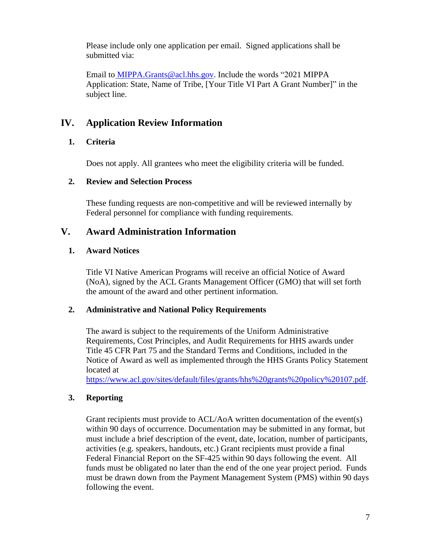Please include only one application per email. Signed applications shall be submitted via:

Email to MIPPA.Grants@acl.hhs.gov. Include the words "2021 MIPPA Application: State, Name of Tribe, [Your Title VI Part A Grant Number]" in the subject line.

# <span id="page-6-0"></span>**IV. Application Review Information**

# <span id="page-6-1"></span>**1. Criteria**

Does not apply. All grantees who meet the eligibility criteria will be funded.

## <span id="page-6-2"></span>**2. Review and Selection Process**

These funding requests are non-competitive and will be reviewed internally by Federal personnel for compliance with funding requirements.

# <span id="page-6-3"></span>**V. Award Administration Information**

# <span id="page-6-4"></span>**1. Award Notices**

Title VI Native American Programs will receive an official Notice of Award (NoA), signed by the ACL Grants Management Officer (GMO) that will set forth the amount of the award and other pertinent information.

## <span id="page-6-5"></span>**2. Administrative and National Policy Requirements**

The award is subject to the requirements of the Uniform Administrative Requirements, Cost Principles, and Audit Requirements for HHS awards under Title 45 CFR Part 75 and the Standard Terms and Conditions, included in the Notice of Award as well as implemented through the HHS Grants Policy Statement located at

[https://www.acl.gov/sites/default/files/grants/hhs%20grants%20policy%20107.pdf.](https://www.acl.gov/sites/default/files/grants/hhs%20grants%20policy%20107.pdf)

# <span id="page-6-6"></span>**3. Reporting**

Grant recipients must provide to ACL/AoA written documentation of the event(s) within 90 days of occurrence. Documentation may be submitted in any format, but must include a brief description of the event, date, location, number of participants, activities (e.g. speakers, handouts, etc.) Grant recipients must provide a final Federal Financial Report on the SF-425 within 90 days following the event. All funds must be obligated no later than the end of the one year project period. Funds must be drawn down from the Payment Management System (PMS) within 90 days following the event.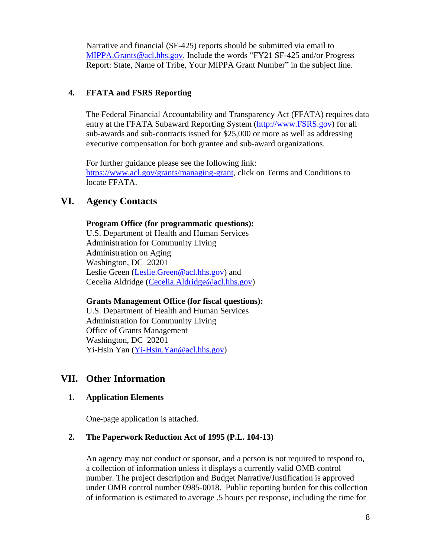Narrative and financial (SF-425) reports should be submitted via email to MIPPA.Grants@acl.hhs.gov. Include the words "FY21 SF-425 and/or Progress Report: State, Name of Tribe, Your MIPPA Grant Number" in the subject line.

### <span id="page-7-0"></span>**4. FFATA and FSRS Reporting**

The Federal Financial Accountability and Transparency Act (FFATA) requires data entry at the FFATA Subaward Reporting System [\(http://www.FSRS.gov\)](http://www.fsrs.gov/) for all sub-awards and sub-contracts issued for \$25,000 or more as well as addressing executive compensation for both grantee and sub-award organizations.

For further guidance please see the following link: [https://www.acl.gov/grants/managing-grant,](https://www.acl.gov/grants/managing-grant) click on Terms and Conditions to locate FFATA.

## <span id="page-7-1"></span>**VI. Agency Contacts**

#### **Program Office (for programmatic questions):**

U.S. Department of Health and Human Services Administration for Community Living Administration on Aging Washington, DC 20201 Leslie Green [\(Leslie.Green@acl.hhs.gov\)](mailto:Leslie.Green@acl.hhs.gov) and Cecelia Aldridge [\(Cecelia.Aldridge@acl.hhs.gov\)](mailto:Cecelia.Aldridge@acl.hhs.gov)

#### **Grants Management Office (for fiscal questions):**

U.S. Department of Health and Human Services Administration for Community Living Office of Grants Management Washington, DC 20201 Yi-Hsin Yan [\(Yi-Hsin.Yan@acl.hhs.gov\)](mailto:Yi-Hsin.Yan@acl.hhs.gov)

## <span id="page-7-2"></span>**VII. Other Information**

#### <span id="page-7-3"></span>**1. Application Elements**

One-page application is attached.

#### <span id="page-7-4"></span>**2. The Paperwork Reduction Act of 1995 (P.L. 104-13)**

An agency may not conduct or sponsor, and a person is not required to respond to, a collection of information unless it displays a currently valid OMB control number. The project description and Budget Narrative/Justification is approved under OMB control number 0985-0018. Public reporting burden for this collection of information is estimated to average .5 hours per response, including the time for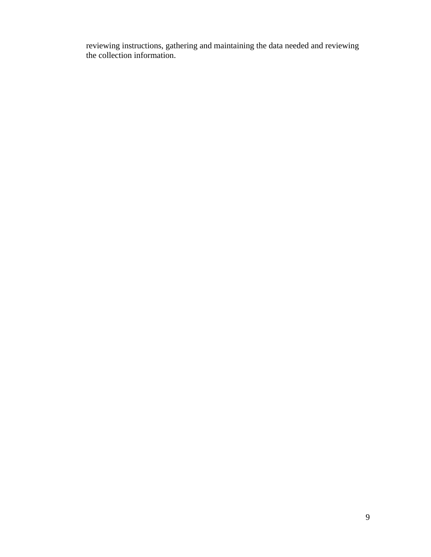reviewing instructions, gathering and maintaining the data needed and reviewing the collection information.